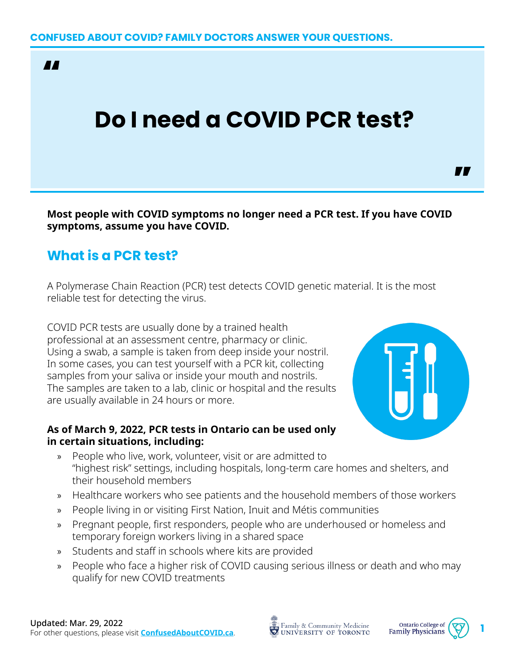**AA** 

## **Do I need a COVID PCR test?**

**Most people with COVID symptoms no longer need a PCR test. If you have COVID symptoms, assume you have COVID.**

## **What is a PCR test?**

A Polymerase Chain Reaction (PCR) test detects COVID genetic material. It is the most reliable test for detecting the virus.

COVID PCR tests are usually done by a trained health professional at an assessment centre, pharmacy or clinic. Using a swab, a sample is taken from deep inside your nostril. In some cases, you can test yourself with a PCR kit, collecting samples from your saliva or inside your mouth and nostrils. The samples are taken to a lab, clinic or hospital and the results are usually available in 24 hours or more.

## **As of March 9, 2022, PCR tests in Ontario can be used only in certain situations, including:**

- » People who live, work, volunteer, visit or are admitted to "highest risk" settings, including hospitals, long-term care homes and shelters, and their household members
- » Healthcare workers who see patients and the household members of those workers
- » People living in or visiting First Nation, Inuit and Métis communities
- » Pregnant people, first responders, people who are underhoused or homeless and temporary foreign workers living in a shared space
- » Students and staff in schools where kits are provided
- » People who face a higher risk of COVID causing serious illness or death and who may qualify for new COVID treatments